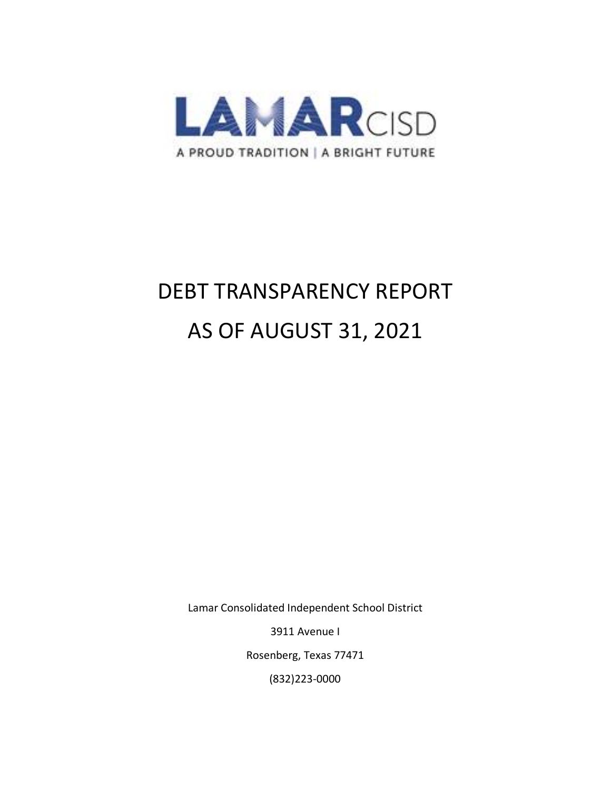

# DEBT TRANSPARENCY REPORT AS OF AUGUST 31, 2021

Lamar Consolidated Independent School District

3911 Avenue I

Rosenberg, Texas 77471

(832)223-0000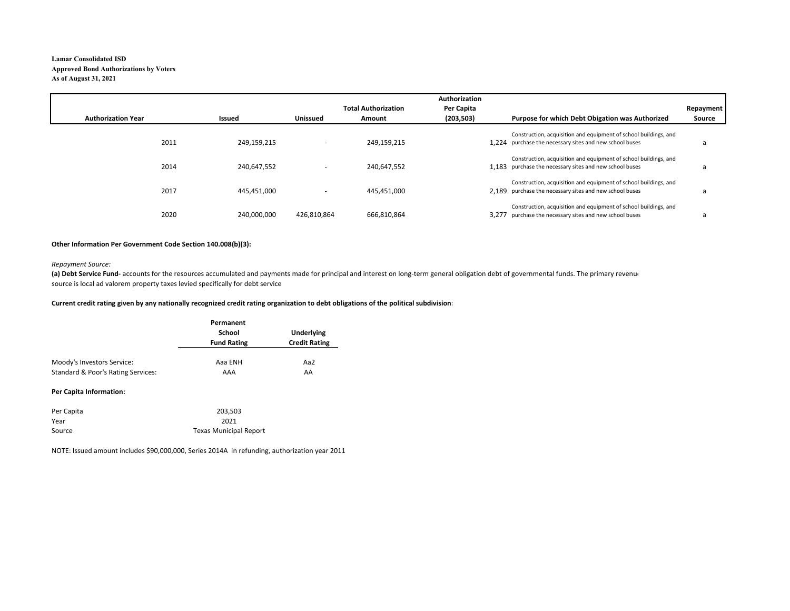#### **Lamar Consolidated ISDApproved Bond Authorizations by Voters As of August 31, 2021**

|                           |             |                 |                            | Authorization |                                                                                                                             |           |
|---------------------------|-------------|-----------------|----------------------------|---------------|-----------------------------------------------------------------------------------------------------------------------------|-----------|
|                           |             |                 | <b>Total Authorization</b> | Per Capita    |                                                                                                                             | Repayment |
| <b>Authorization Year</b> | Issued      | <b>Unissued</b> | Amount                     | (203, 503)    | Purpose for which Debt Obigation was Authorized                                                                             | Source    |
| 2011                      | 249,159,215 |                 | 249,159,215                |               | Construction, acquisition and equipment of school buildings, and<br>1.224 purchase the necessary sites and new school buses | Ł.        |
| 2014                      | 240,647,552 |                 | 240.647.552                |               | Construction, acquisition and equipment of school buildings, and<br>1.183 purchase the necessary sites and new school buses | a         |
| 2017                      | 445.451.000 |                 | 445.451.000                |               | Construction, acquisition and equipment of school buildings, and<br>2.189 purchase the necessary sites and new school buses |           |
| 2020                      | 240,000,000 | 426,810,864     | 666,810,864                | 3.277         | Construction, acquisition and equipment of school buildings, and<br>purchase the necessary sites and new school buses       | a         |

#### **Other Information Per Government Code Section 140.008(b)(3):**

#### *Repayment Source:*

(a) Debt Service Fund- accounts for the resources accumulated and payments made for principal and interest on long-term general obligation debt of governmental funds. The primary revenue source is local ad valorem property taxes levied specifically for debt service

#### **Current credit rating given by any nationally recognized credit rating organization to debt obligations of the political subdivision:**

|                                                                  | Permanent<br>School<br><b>Fund Rating</b> | <b>Underlying</b><br><b>Credit Rating</b> |  |
|------------------------------------------------------------------|-------------------------------------------|-------------------------------------------|--|
| Moody's Investors Service:<br>Standard & Poor's Rating Services: | Aaa ENH<br>AAA                            | Aa2<br>AA                                 |  |
| <b>Per Capita Information:</b>                                   |                                           |                                           |  |

| Per Capita | 203.503                       |
|------------|-------------------------------|
| Year       | 2021                          |
| Source     | <b>Texas Municipal Report</b> |

NOTE: Issued amount includes \$90,000,000, Series 2014A in refunding, authorization year 2011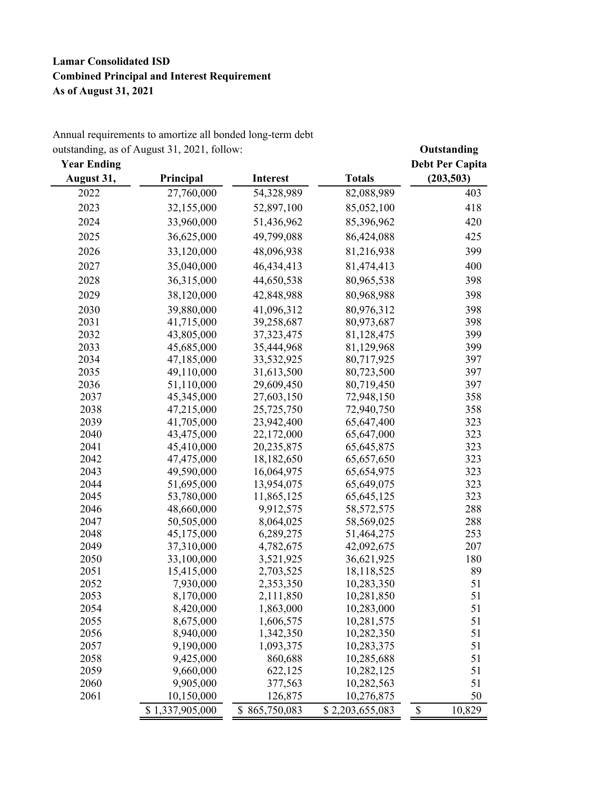## **Lamar Consolidated ISD Combined Principal and Interest Requirement As of August 31, 2021**

| outstanding, as of August 31, 2021, follow: |            | Outstanding     |               |                        |
|---------------------------------------------|------------|-----------------|---------------|------------------------|
| <b>Year Ending</b>                          |            |                 |               | <b>Debt Per Capita</b> |
| August 31,                                  | Principal  | <b>Interest</b> | <b>Totals</b> | (203, 503)             |
| 2022                                        | 27,760,000 | 54,328,989      | 82,088,989    | 403                    |
| 2023                                        | 32,155,000 | 52,897,100      | 85,052,100    | 418                    |
| 2024                                        | 33,960,000 | 51,436,962      | 85,396,962    | 420                    |
| 2025                                        | 36,625,000 | 49,799,088      | 86,424,088    | 425                    |
| 2026                                        | 33,120,000 | 48,096,938      | 81,216,938    | 399                    |
| 2027                                        | 35,040,000 | 46, 434, 413    | 81,474,413    | 400                    |
| 2028                                        | 36,315,000 | 44,650,538      | 80,965,538    | 398                    |
|                                             |            |                 |               |                        |
| 2029                                        | 38,120,000 | 42,848,988      | 80,968,988    | 398                    |
| 2030                                        | 39,880,000 | 41,096,312      | 80,976,312    | 398                    |
| 2031                                        | 41,715,000 | 39,258,687      | 80,973,687    | 398                    |
| 2032                                        | 43,805,000 | 37, 323, 475    | 81,128,475    | 399                    |
| 2033                                        | 45,685,000 | 35,444,968      | 81,129,968    | 399                    |
| 2034                                        | 47,185,000 | 33,532,925      | 80,717,925    | 397                    |
| 2035                                        | 49,110,000 | 31,613,500      | 80,723,500    | 397                    |
| 2036                                        | 51,110,000 | 29,609,450      | 80,719,450    | 397                    |
| 2037                                        | 45,345,000 | 27,603,150      | 72,948,150    | 358                    |
| 2038                                        | 47,215,000 | 25,725,750      | 72,940,750    | 358                    |
| 2039                                        | 41,705,000 | 23,942,400      | 65,647,400    | 323                    |
| 2040                                        | 43,475,000 | 22,172,000      | 65,647,000    | 323                    |
| 2041                                        | 45,410,000 | 20,235,875      | 65, 645, 875  | 323                    |
| 2042                                        | 47,475,000 | 18,182,650      | 65,657,650    | 323                    |
| 2043                                        | 49,590,000 | 16,064,975      | 65, 654, 975  | 323                    |
| 2044                                        | 51,695,000 | 13,954,075      | 65,649,075    | 323                    |
| 2045                                        | 53,780,000 | 11,865,125      | 65, 645, 125  | 323                    |
| 2046                                        | 48,660,000 | 9,912,575       | 58, 572, 575  | 288                    |
| 2047                                        | 50,505,000 | 8,064,025       | 58,569,025    | 288                    |
| 2048                                        | 45,175,000 | 6,289,275       | 51,464,275    | 253                    |
| 2049                                        | 37,310,000 | 4,782,675       | 42,092,675    | 207                    |
| 2050                                        | 33,100,000 | 3,521,925       | 36,621,925    | 180                    |
| 2051                                        | 15,415,000 | 2,703,525       | 18,118,525    | 89                     |
| 2052                                        | 7,930,000  | 2,353,350       | 10,283,350    | 51                     |
| 2053                                        | 8,170,000  | 2,111,850       | 10,281,850    | 51                     |
| 2054                                        | 8,420,000  | 1,863,000       | 10,283,000    | 51                     |
| 2055                                        | 8,675,000  | 1,606,575       | 10,281,575    | 51                     |
| 2056                                        | 8,940,000  | 1,342,350       | 10,282,350    | 51                     |
| 2057                                        | 9,190,000  | 1,093,375       | 10,283,375    | 51                     |

2058 9,425,000 860,688 10,285,688 51 2059 9,660,000 622,125 10,282,125 51 2060 9,905,000 377,563 10,282,563 51 2061 10,150,000 126,875 10,276,875 50

 $$1,337,905,000$   $$865,750,083$   $$2,203,655,083$   $$10,829$ 

Annual requirements to amortize all bonded long-term debt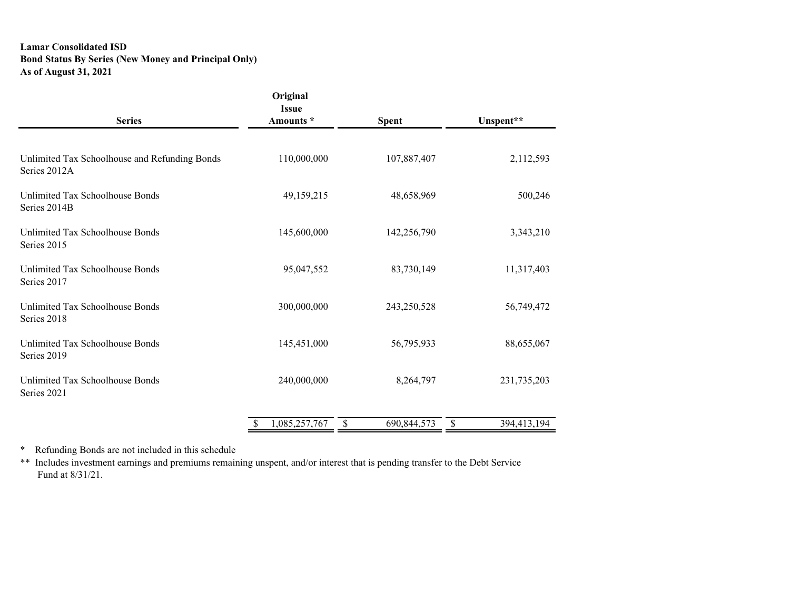### **Lamar Consolidated ISD Bond Status By Series (New Money and Principal Only) As of August 31, 2021**

| <b>Series</b>                                                 | Original<br><b>Issue</b><br>Amounts * | <b>Spent</b> | Unspent**         |
|---------------------------------------------------------------|---------------------------------------|--------------|-------------------|
| Unlimited Tax Schoolhouse and Refunding Bonds<br>Series 2012A | 110,000,000                           | 107,887,407  | 2,112,593         |
| Unlimited Tax Schoolhouse Bonds<br>Series 2014B               | 49,159,215                            | 48,658,969   | 500,246           |
| Unlimited Tax Schoolhouse Bonds<br>Series 2015                | 145,600,000                           | 142,256,790  | 3,343,210         |
| Unlimited Tax Schoolhouse Bonds<br>Series 2017                | 95,047,552                            | 83,730,149   | 11,317,403        |
| Unlimited Tax Schoolhouse Bonds<br>Series 2018                | 300,000,000                           | 243,250,528  | 56,749,472        |
| Unlimited Tax Schoolhouse Bonds<br>Series 2019                | 145,451,000                           | 56,795,933   | 88,655,067        |
| Unlimited Tax Schoolhouse Bonds<br>Series 2021                | 240,000,000                           | 8,264,797    | 231,735,203       |
|                                                               | 1,085,257,767<br>\$<br><sup>S</sup>   | 690,844,573  | 394,413,194<br>\$ |

\* Refunding Bonds are not included in this schedule

\*\* Includes investment earnings and premiums remaining unspent, and/or interest that is pending transfer to the Debt Service Fund at 8/31/21.